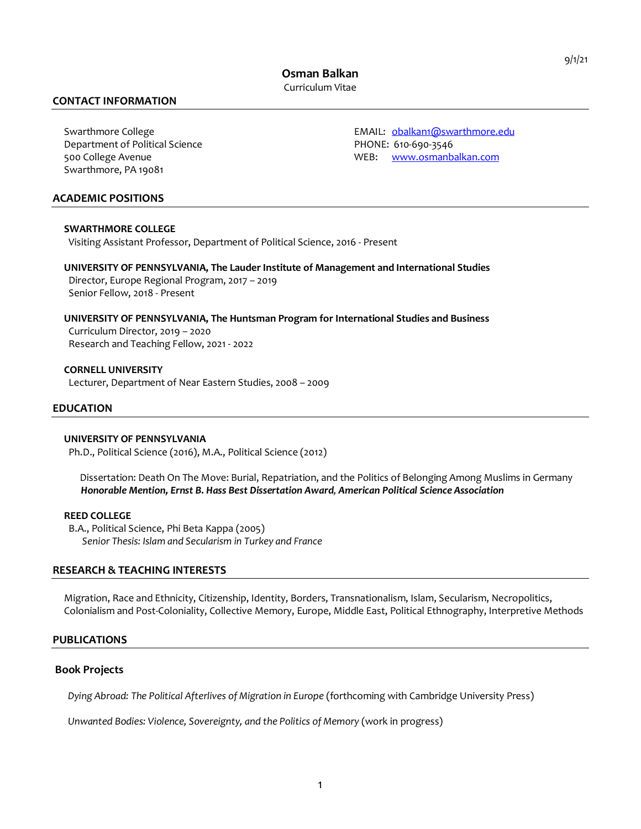**Osman Balkan** Curriculum Vitae

# **CONTACT INFORMATION**

Department of Political Science **PHONE: 610-690-3546** Swarthmore, PA 19081

Swarthmore College The EMAIL: obalkan1@swarthmore.edu 500 College Avenue WEB: www.osmanbalkan.com

### **ACADEMIC POSITIONS**

#### **SWARTHMORE COLLEGE**

Visiting Assistant Professor, Department of Political Science, 2016 - Present

 **UNIVERSITY OF PENNSYLVANIA, The Lauder Institute of Management and International Studies** Director, Europe Regional Program, 2017 – 2019 Senior Fellow, 2018 - Present

# **UNIVERSITY OF PENNSYLVANIA, The Huntsman Program for International Studies and Business**

 Curriculum Director, 2019 – 2020 Research and Teaching Fellow, 2021 - 2022

 **CORNELL UNIVERSITY** Lecturer, Department of Near Eastern Studies, 2008 – 2009

# **EDUCATION**

#### **UNIVERSITY OF PENNSYLVANIA**

Ph.D., Political Science (2016), M.A., Political Science (2012)

 Dissertation: Death On The Move: Burial, Repatriation, and the Politics of Belonging Among Muslims in Germany  *Honorable Mention, Ernst B. Hass Best Dissertation Award, American Political Science Association*

#### **REED COLLEGE**

 B.A., Political Science, Phi Beta Kappa (2005) *Senior Thesis: Islam and Secularism in Turkey and France*

# **RESEARCH & TEACHING INTERESTS**

 Migration, Race and Ethnicity, Citizenship, Identity, Borders, Transnationalism, Islam, Secularism, Necropolitics, Colonialism and Post-Coloniality, Collective Memory, Europe, Middle East, Political Ethnography, Interpretive Methods

# **PUBLICATIONS**

#### **Book Projects**

 *Dying Abroad: The Political Afterlives of Migration in Europe* (forthcoming with Cambridge University Press)

 *Unwanted Bodies: Violence, Sovereignty, and the Politics of Memory* (work in progress)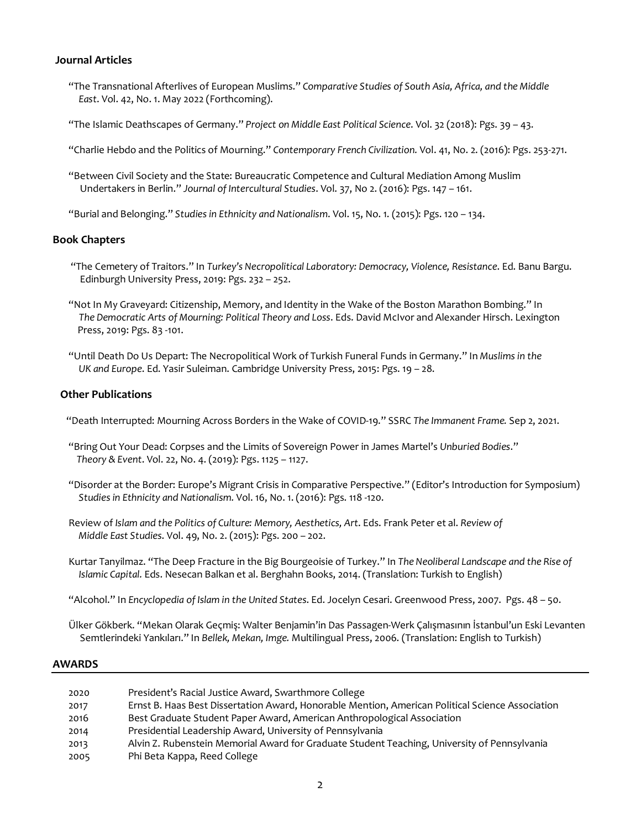# **Journal Articles**

- "The Transnational Afterlives of European Muslims." *Comparative Studies of South Asia, Africa, and the Middle East*. Vol. 42, No. 1. May 2022 (Forthcoming).
- "The Islamic Deathscapes of Germany." *Project on Middle East Political Science*. Vol. 32 (2018): Pgs. 39 43.
- "Charlie Hebdo and the Politics of Mourning." *Contemporary French Civilization.* Vol. 41, No. 2. (2016): Pgs. 253-271.
- "Between Civil Society and the State: Bureaucratic Competence and Cultural Mediation Among Muslim Undertakers in Berlin." *Journal of Intercultural Studies*. Vol. 37, No 2. (2016): Pgs. 147 – 161.
- "Burial and Belonging." *Studies in Ethnicity and Nationalism*. Vol. 15, No. 1. (2015): Pgs. 120 134.

# **Book Chapters**

- "The Cemetery of Traitors." In *Turkey's Necropolitical Laboratory: Democracy, Violence, Resistance*. Ed. Banu Bargu. Edinburgh University Press, 2019: Pgs. 232 – 252.
- "Not In My Graveyard: Citizenship, Memory, and Identity in the Wake of the Boston Marathon Bombing." In  *The Democratic Arts of Mourning: Political Theory and Loss*. Eds. David McIvor and Alexander Hirsch. Lexington Press, 2019: Pgs. 83 -101.
- "Until Death Do Us Depart: The Necropolitical Work of Turkish Funeral Funds in Germany." In *Muslims in the UK and Europe*. Ed. Yasir Suleiman. Cambridge University Press, 2015: Pgs. 19 – 28.

# **Other Publications**

- "Death Interrupted: Mourning Across Borders in the Wake of COVID-19." SSRC *The Immanent Frame.* Sep 2, 2021.
- "Bring Out Your Dead: Corpses and the Limits of Sovereign Power in James Martel's *Unburied Bodies*."  *Theory & Event*. Vol. 22, No. 4. (2019): Pgs. 1125 – 1127.
- "Disorder at the Border: Europe's Migrant Crisis in Comparative Perspective." (Editor's Introduction for Symposium)  *Studies in Ethnicity and Nationalism.* Vol. 16, No. 1. (2016): Pgs. 118 -120.
- Review of *Islam and the Politics of Culture: Memory, Aesthetics, Art*. Eds. Frank Peter et al. *Review of Middle East Studies*. Vol. 49, No. 2. (2015): Pgs. 200 – 202.
- Kurtar Tanyilmaz. "The Deep Fracture in the Big Bourgeoisie of Turkey." In *The Neoliberal Landscape and the Rise of Islamic Capital.* Eds. Nesecan Balkan et al. Berghahn Books, 2014. (Translation: Turkish to English)
- "Alcohol." In *Encyclopedia of Islam in the United States*. Ed. Jocelyn Cesari. Greenwood Press, 2007. Pgs. 48 50.
- Ülker Gökberk. "Mekan Olarak Geçmiş: Walter Benjamin'in Das Passagen-Werk Çalışmasının İstanbul'un Eski Levanten Semtlerindeki Yankıları." In *Bellek, Mekan, Imge.* Multilingual Press, 2006. (Translation: English to Turkish)

# **AWARDS**

| 2020 | President's Racial Justice Award, Swarthmore College                                             |
|------|--------------------------------------------------------------------------------------------------|
| 2017 | Ernst B. Haas Best Dissertation Award, Honorable Mention, American Political Science Association |
| 2016 | Best Graduate Student Paper Award, American Anthropological Association                          |
| 2014 | Presidential Leadership Award, University of Pennsylvania                                        |
| 2013 | Alvin Z. Rubenstein Memorial Award for Graduate Student Teaching, University of Pennsylvania     |
| 2005 | Phi Beta Kappa, Reed College                                                                     |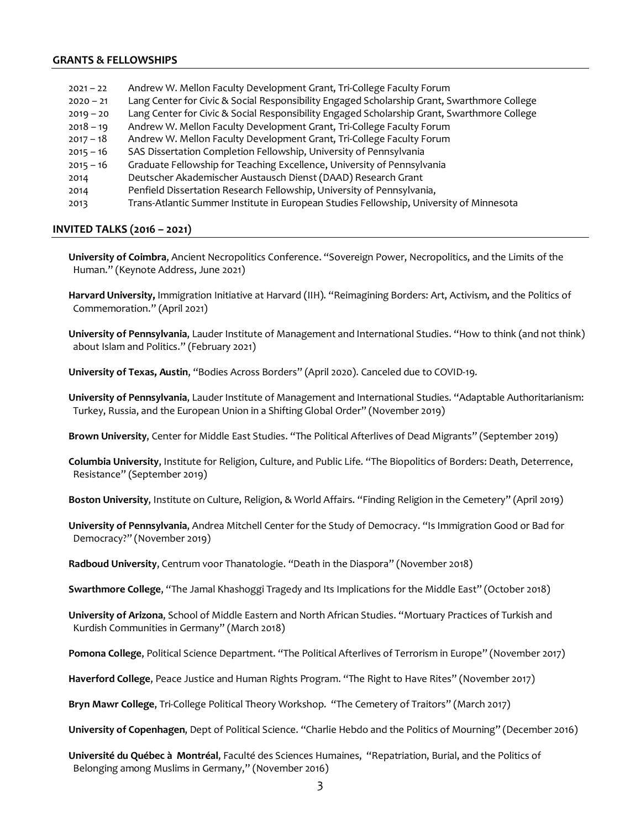# **GRANTS & FELLOWSHIPS**

 2021 – 22 Andrew W. Mellon Faculty Development Grant, Tri-College Faculty Forum – 21 Lang Center for Civic & Social Responsibility Engaged Scholarship Grant, Swarthmore College – 20 Lang Center for Civic & Social Responsibility Engaged Scholarship Grant, Swarthmore College – 19 Andrew W. Mellon Faculty Development Grant, Tri-College Faculty Forum – 18 Andrew W. Mellon Faculty Development Grant, Tri-College Faculty Forum – 16 SAS Dissertation Completion Fellowship, University of Pennsylvania – 16 Graduate Fellowship for Teaching Excellence, University of Pennsylvania Deutscher Akademischer Austausch Dienst (DAAD) Research Grant Penfield Dissertation Research Fellowship, University of Pennsylvania, Trans-Atlantic Summer Institute in European Studies Fellowship, University of Minnesota

### **INVITED TALKS (2016 – 2021)**

**University of Coimbra**, Ancient Necropolitics Conference. "Sovereign Power, Necropolitics, and the Limits of the Human." (Keynote Address, June 2021)

**Harvard University,** Immigration Initiative at Harvard (IIH). "Reimagining Borders: Art, Activism, and the Politics of Commemoration." (April 2021)

**University of Pennsylvania**, Lauder Institute of Management and International Studies. "How to think (and not think) about Islam and Politics." (February 2021)

 **University of Texas, Austin**, "Bodies Across Borders" (April 2020). Canceled due to COVID-19.

 **University of Pennsylvania**, Lauder Institute of Management and International Studies. "Adaptable Authoritarianism: Turkey, Russia, and the European Union in a Shifting Global Order" (November 2019)

**Brown University**, Center for Middle East Studies. "The Political Afterlives of Dead Migrants" (September 2019)

 **Columbia University**, Institute for Religion, Culture, and Public Life. "The Biopolitics of Borders: Death, Deterrence, Resistance" (September 2019)

 **Boston University**, Institute on Culture, Religion, & World Affairs. "Finding Religion in the Cemetery" (April 2019)

 **University of Pennsylvania**, Andrea Mitchell Center for the Study of Democracy. "Is Immigration Good or Bad for Democracy?" (November 2019)

**Radboud University**, Centrum voor Thanatologie. "Death in the Diaspora" (November 2018)

**Swarthmore College**, "The Jamal Khashoggi Tragedy and Its Implications for the Middle East" (October 2018)

 **University of Arizona**, School of Middle Eastern and North African Studies. "Mortuary Practices of Turkish and Kurdish Communities in Germany" (March 2018)

 **Pomona College**, Political Science Department. "The Political Afterlives of Terrorism in Europe" (November 2017)

 **Haverford College**, Peace Justice and Human Rights Program. "The Right to Have Rites" (November 2017)

**Bryn Mawr College**, Tri-College Political Theory Workshop. "The Cemetery of Traitors" (March 2017)

 **University of Copenhagen**, Dept of Political Science. "Charlie Hebdo and the Politics of Mourning" (December 2016)

 **Université du Québec à Montréal**, Faculté des Sciences Humaines, "Repatriation, Burial, and the Politics of Belonging among Muslims in Germany," (November 2016)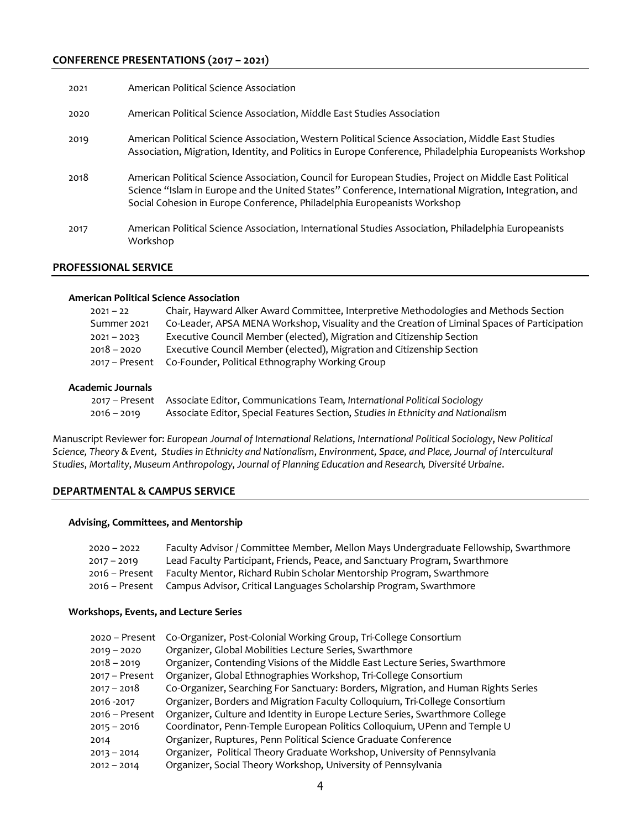# **CONFERENCE PRESENTATIONS (2017 – 2021)**

| 2021 | American Political Science Association                                                                                                                                                                                                                                                      |
|------|---------------------------------------------------------------------------------------------------------------------------------------------------------------------------------------------------------------------------------------------------------------------------------------------|
| 2020 | American Political Science Association, Middle East Studies Association                                                                                                                                                                                                                     |
| 2019 | American Political Science Association, Western Political Science Association, Middle East Studies<br>Association, Migration, Identity, and Politics in Europe Conference, Philadelphia Europeanists Workshop                                                                               |
| 2018 | American Political Science Association, Council for European Studies, Project on Middle East Political<br>Science "Islam in Europe and the United States" Conference, International Migration, Integration, and<br>Social Cohesion in Europe Conference, Philadelphia Europeanists Workshop |
| 2017 | American Political Science Association, International Studies Association, Philadelphia Europeanists<br>Workshop                                                                                                                                                                            |

# **PROFESSIONAL SERVICE**

#### **American Political Science Association**

| $2021 - 22$    | Chair, Hayward Alker Award Committee, Interpretive Methodologies and Methods Section         |
|----------------|----------------------------------------------------------------------------------------------|
| Summer 2021    | Co-Leader, APSA MENA Workshop, Visuality and the Creation of Liminal Spaces of Participation |
| $2021 - 2023$  | Executive Council Member (elected), Migration and Citizenship Section                        |
| $2018 - 2020$  | Executive Council Member (elected), Migration and Citizenship Section                        |
| 2017 – Present | Co-Founder, Political Ethnography Working Group                                              |

### **Academic Journals**

|               | 2017 - Present Associate Editor, Communications Team, International Political Sociology |
|---------------|-----------------------------------------------------------------------------------------|
| $2016 - 2019$ | Associate Editor, Special Features Section, Studies in Ethnicity and Nationalism        |

Manuscript Reviewer for: *European Journal of International Relations*, *International Political Sociology*, *New Political Science, Theory & Event, Studies in Ethnicity and Nationalism*, *Environment, Space, and Place, Journal of Intercultural Studies*, *Mortality*, *Museum Anthropology*, *Journal of Planning Education and Research, Diversité Urbaine*.

### **DEPARTMENTAL & CAMPUS SERVICE**

#### **Advising, Committees, and Mentorship**

| $2020 - 2022$  | Faculty Advisor / Committee Member, Mellon Mays Undergraduate Fellowship, Swarthmore |
|----------------|--------------------------------------------------------------------------------------|
| $2017 - 2019$  | Lead Faculty Participant, Friends, Peace, and Sanctuary Program, Swarthmore          |
| 2016 – Present | Faculty Mentor, Richard Rubin Scholar Mentorship Program, Swarthmore                 |
|                | 2016 – Present Campus Advisor, Critical Languages Scholarship Program, Swarthmore    |

### **Workshops, Events, and Lecture Series**

| 2020 - Present   | Co-Organizer, Post-Colonial Working Group, Tri-College Consortium                  |
|------------------|------------------------------------------------------------------------------------|
| $2019 - 2020$    | Organizer, Global Mobilities Lecture Series, Swarthmore                            |
| $2018 - 2019$    | Organizer, Contending Visions of the Middle East Lecture Series, Swarthmore        |
| $2017 -$ Present | Organizer, Global Ethnographies Workshop, Tri-College Consortium                   |
| $2017 - 2018$    | Co-Organizer, Searching For Sanctuary: Borders, Migration, and Human Rights Series |
| 2016 - 2017      | Organizer, Borders and Migration Faculty Colloquium, Tri-College Consortium        |
| 2016 - Present   | Organizer, Culture and Identity in Europe Lecture Series, Swarthmore College       |
| $2015 - 2016$    | Coordinator, Penn-Temple European Politics Colloquium, UPenn and Temple U          |
| 2014             | Organizer, Ruptures, Penn Political Science Graduate Conference                    |
| $2013 - 2014$    | Organizer, Political Theory Graduate Workshop, University of Pennsylvania          |
| $2012 - 2014$    | Organizer, Social Theory Workshop, University of Pennsylvania                      |